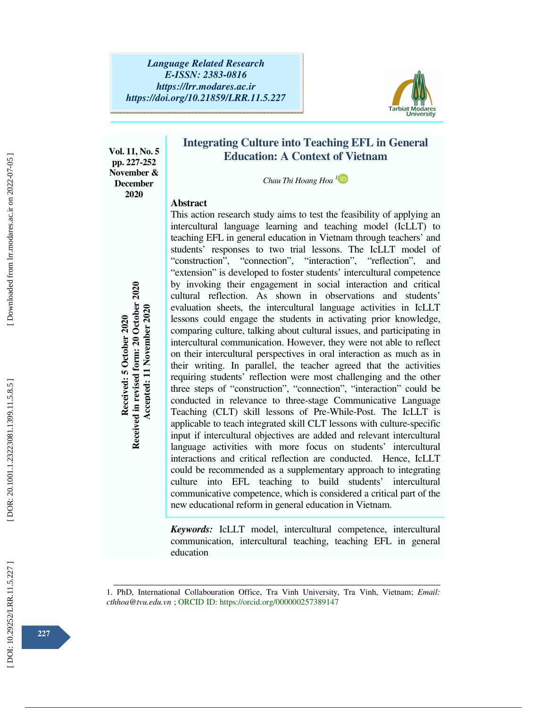

**Vol. 11, No. 5 pp. 227-252 November & December 2020** 

# **Integrating Culture into Teaching EFL in General Education: A Context of Vietnam**

*Chau Thi Hoang Hoa 1*

## **Abstract**

This action research study aims to test the feasibility of applying an intercultural language learning and teaching model (IcLLT) to teaching EFL in general education in Vietnam through teachers' and students' responses to two trial lessons. The IcLLT model of "construction", "connection", "interaction", "reflection", and "extension" is developed to foster students' intercultural competence by invoking their engagement in social interaction and critical cultural reflection. As shown in observations and students' evaluation sheets, the intercultural language activities in IcLLT lessons could engage the students in activating prior knowledge, comparing culture, talking about cultural issues, and participating in intercultural communication. However, they were not able to reflect on their intercultural perspectives in oral interaction as much as in their writing. In parallel, the teacher agreed that the activities requiring students' reflection were most challenging and the other three steps of "construction", "connection", "interaction" could be conducted in relevance to three-stage Communicative Language Teaching (CLT) skill lessons of Pre-While-Post. The IcLLT is applicable to teach integrated skill CLT lessons with culture-specific input if intercultural objectives are added and relevant intercultural language activities with more focus on students' intercultural interactions and critical reflection are conducted. Hence, IcLLT could be recommended as a supplementary approach to integrating culture into EFL teaching to build students' intercultural communicative competence, which is considered a critical part of the new educational reform in general education in Vietnam. by mooking their engagement in social<br>evaluation cheets, the intercultural langu<br>lessons could engage the students in act<br>comparing culture, talking about cultural is<br>intercultural communication. However, the<br>one their int

*Keywords:* IcLLT model, intercultural competence, intercultural communication, intercultural teaching, teaching EFL in general education

ــــــــــــــــــــــــــــــــــــــــــــــــــــــــــــــــــــــــــــــــــــــــــــــــــــــــــــــــــــــــــــــــــــــــــــــــــــــــــــــــــــــــــــــــــــــــــــــــــــــــــــــــــــــــــــــــــــــــــــــــــــــــــــــــــــــــــــ 1. PhD, International Collabouration Office, Tra Vinh University, Tra Vinh, Vietnam; *Email:*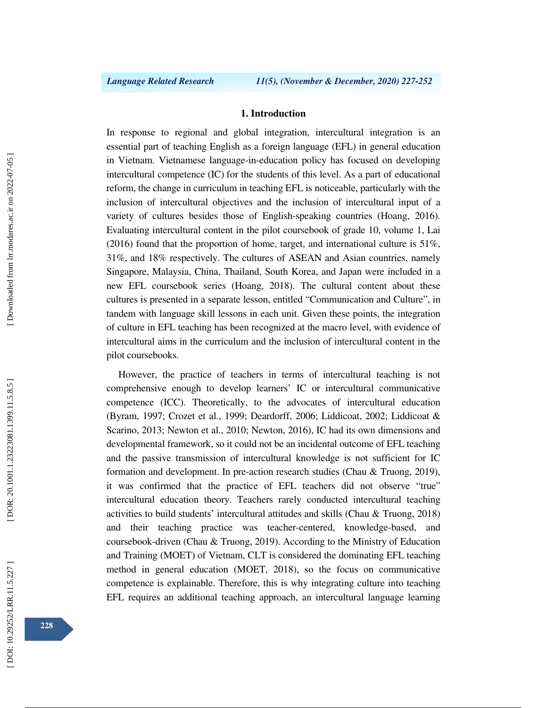# **1. Introduction**

In response to regional and global integration, intercultural integration is an essential part of teaching English as a foreign language (EFL) in general education in Vietnam. Vietnamese language-in-education policy has focused on developing intercultural competence (IC) for the students of this level. As a part of educational reform, the change in curriculum in teaching EFL is noticeable, particularly with the inclusion of intercultural objectives and the inclusion of intercultural input of a variety of cultures besides those of English-speaking countries (Hoang, 2016). Evaluating intercultural content in the pilot coursebook of grade 10, volume 1, Lai (2016) found that the proportion of home, target, and international culture is 51%, 31%, and 18% respectively. The cultures of ASEAN and Asian countries, namely Singapore, Malaysia, China, Thailand, South Korea, and Japan were included in a new EFL coursebook series (Hoang, 2018). The cultural content about these cultures is presented in a separate lesson, entitled "Communication and Culture", in tandem with language skill lessons in each unit. Given these points, the integration of culture in EFL teaching has been recognized at the macro level, with evidence of intercultural aims in the curriculum and the inclusion of intercultural content in the pilot coursebooks.

However, the practice of teachers in terms of intercultural teaching is not comprehensive enough to develop learners' IC or intercultural communicative competence (ICC). Theoretically, to the advocates of intercultural education (Byram, 1997; Crozet et al., 1999; Deardorff, 2006; Liddicoat, 2002; Liddicoat & Scarino, 2013; Newton et al., 2010; Newton, 2016), IC had its own dimensions and developmental framework, so it could not be an incidental outcome of EFL teaching and the passive transmission of intercultural knowledge is not sufficient for IC formation and development. In pre-action research studies (Chau & Truong, 2019), it was confirmed that the practice of EFL teachers did not observe "true" intercultural education theory. Teachers rarely conducted intercultural teaching activities to build students' intercultural attitudes and skills (Chau & Truong, 2018) and their teaching practice was teacher-centered, knowledge-based, and coursebook-driven (Chau & Truong, 2019). According to the Ministry of Education and Training (MOET) of Vietnam, CLT is considered the dominating EFL teaching method in general education (MOET, 2018), so the focus on communicative competence is explainable. Therefore, this is why integrating culture into teaching EFL requires an additional teaching approach, an intercultural language learning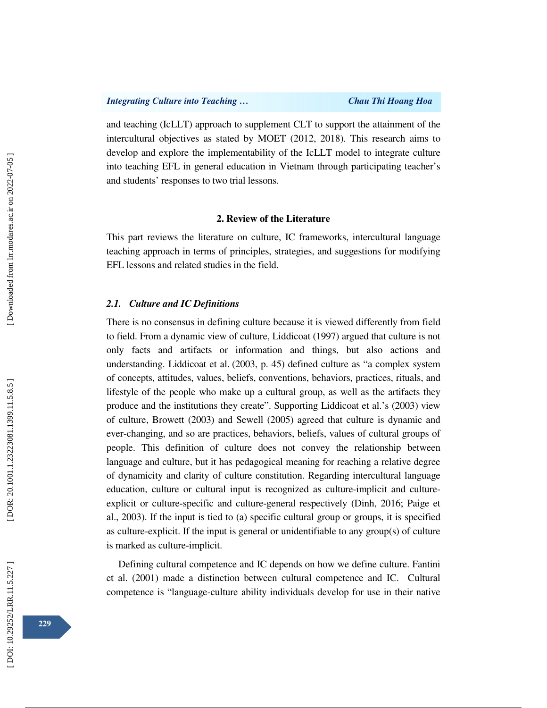and teaching (IcLLT) approach to supplement CLT to support the attainment of the intercultural objectives as stated by MOET (2012, 2018). This research aims to develop and explore the implementability of the IcLLT model to integrate culture into teaching EFL in general education in Vietnam through participating teacher's and students' responses to two trial lessons.

## **2. Review of the Literature**

This part reviews the literature on culture, IC frameworks, intercultural language teaching approach in terms of principles, strategies, and suggestions for modifying EFL lessons and related studies in the field.

### *2.1. Culture and IC Definitions*

There is no consensus in defining culture because it is viewed differently from field to field. From a dynamic view of culture, Liddicoat (1997) argued that culture is not only facts and artifacts or information and things, but also actions and understanding. Liddicoat et al. (2003, p. 45) defined culture as "a complex system of concepts, attitudes, values, beliefs, conventions, behaviors, practices, rituals, and lifestyle of the people who make up a cultural group, as well as the artifacts they produce and the institutions they create". Supporting Liddicoat et al.'s (2003) view of culture, Browett (2003) and Sewell (2005) agreed that culture is dynamic and ever-changing, and so are practices, behaviors, beliefs, values of cultural groups of people. This definition of culture does not convey the relationship between language and culture, but it has pedagogical meaning for reaching a relative degree of dynamicity and clarity of culture constitution. Regarding intercultural language education, culture or cultural input is recognized as culture-implicit and cultureexplicit or culture-specific and culture-general respectively (Dinh, 2016; Paige et al., 2003). If the input is tied to (a) specific cultural group or groups, it is specified as culture-explicit. If the input is general or unidentifiable to any group(s) of culture is marked as culture-implicit.

Defining cultural competence and IC depends on how we define culture. Fantini et al. (2001) made a distinction between cultural competence and IC. Cultural competence is "language-culture ability individuals develop for use in their native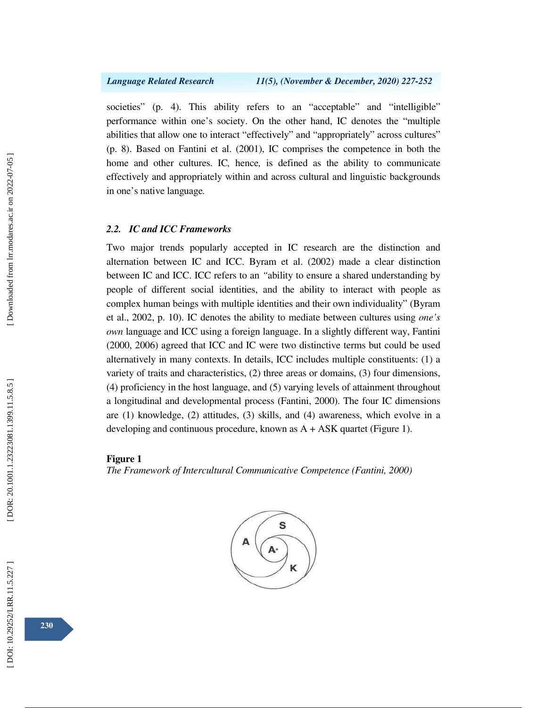societies" (p. 4). This ability refers to an "acceptable" and "intelligible" performance within one's society. On the other hand, IC denotes the "multiple abilities that allow one to interact "effectively" and "appropriately" across cultures" (p. 8). Based on Fantini et al. (2001), IC comprises the competence in both the home and other cultures. IC*,* hence*,* is defined as the ability to communicate effectively and appropriately within and across cultural and linguistic backgrounds in one's native language *.*

### *2.2. IC and ICC Frameworks*

Two major trends popularly accepted in IC research are the distinction and alternation between IC and ICC. Byram et al. (2002) made a clear distinction between IC and ICC. ICC refers to an *"*ability to ensure a shared understanding by people of different social identities, and the ability to interact with people as complex human beings with multiple identities and their own individuality" (Byram et al., 2002, p. 10). IC denotes the ability to mediate between cultures using *one's own* language and ICC using a foreign language. In a slightly different way, Fantini (2000, 2006) agreed that ICC and IC were two distinctive terms but could be used alternatively in many contexts. In details, ICC includes multiple constituents: (1) a variety of traits and characteristics, (2) three areas or domains, (3) four dimensions, (4) proficiency in the host language, and (5) varying levels of attainment throughout a longitudinal and developmental process (Fantini, 2000). The four IC dimensions are (1) knowledge, (2) attitudes, (3) skills, and (4) awareness, which evolve in a developing and continuous procedure, known as  $A + ASK$  quartet (Figure 1).

### **Figure 1**

*The Framework of Intercultural Communicative Competence (Fantini, 2000)* 

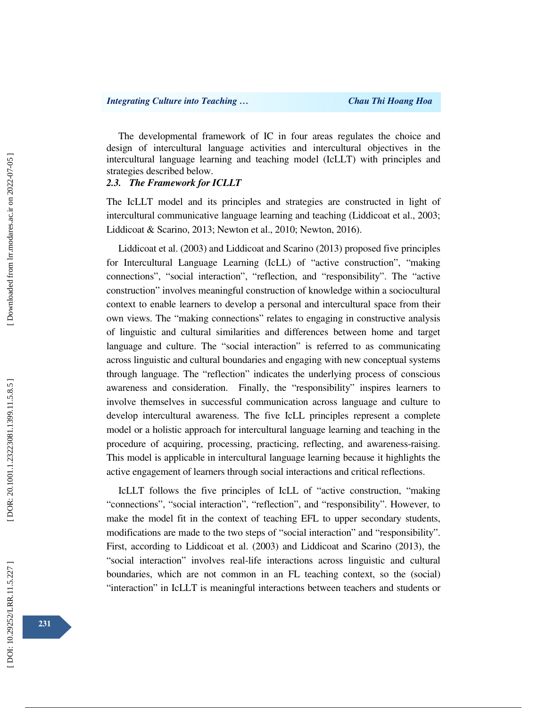The developmental framework of IC in four areas regulates the choice and design of intercultural language activities and intercultural objectives in the intercultural language learning and teaching model (IcLLT) with principles and strategies described below.

### *2.3. The Framework for ICLLT*

The IcLLT model and its principles and strategies are constructed in light of intercultural communicative language learning and teaching (Liddicoat et al., 2003; Liddicoat & Scarino, 2013; Newton et al., 2010; Newton, 2016).

Liddicoat et al. (2003) and Liddicoat and Scarino (2013) proposed five principles for Intercultural Language Learning (IcLL) of "active construction", "making connections", "social interaction", "reflection, and "responsibility". The "active construction" involves meaningful construction of knowledge within a sociocultural context to enable learners to develop a personal and intercultural space from their own views. The "making connections" relates to engaging in constructive analysis of linguistic and cultural similarities and differences between home and target language and culture. The "social interaction" is referred to as communicating across linguistic and cultural boundaries and engaging with new conceptual systems through language. The "reflection" indicates the underlying process of conscious awareness and consideration. Finally, the "responsibility" inspires learners to involve themselves in successful communication across language and culture to develop intercultural awareness. The five IcLL principles represent a complete model or a holistic approach for intercultural language learning and teaching in the procedure of acquiring, processing, practicing, reflecting, and awareness-raising. This model is applicable in intercultural language learning because it highlights the active engagement of learners through social interactions and critical reflections.

IcLLT follows the five principles of IcLL of "active construction, "making "connections", "social interaction", "reflection", and "responsibility". However, to make the model fit in the context of teaching EFL to upper secondary students, modifications are made to the two steps of "social interaction" and "responsibility". First, according to Liddicoat et al. (2003) and Liddicoat and Scarino (2013), the "social interaction" involves real-life interactions across linguistic and cultural boundaries, which are not common in an FL teaching context, so the (social) "interaction" in IcLLT is meaningful interactions between teachers and students or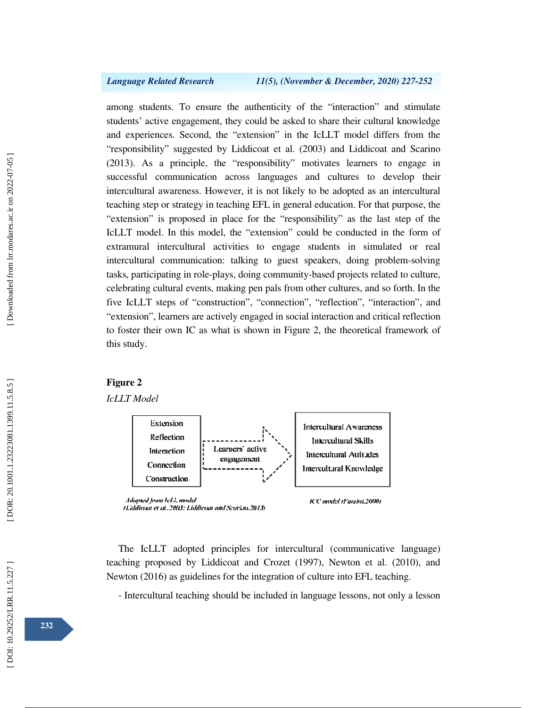among students. To ensure the authenticity of the "interaction" and stimulate students' active engagement, they could be asked to share their cultural knowledge and experiences. Second, the "extension" in the IcLLT model differs from the "responsibility" suggested by Liddicoat et al. (2003) and Liddicoat and Scarino (2013). As a principle, the "responsibility" motivates learners to engage in successful communication across languages and cultures to develop their intercultural awareness. However, it is not likely to be adopted as an intercultural teaching step or strategy in teaching EFL in general education. For that purpose, the "extension" is proposed in place for the "responsibility" as the last step of the IcLLT model. In this model, the "extension" could be conducted in the form of extramural intercultural activities to engage students in simulated or real intercultural communication: talking to guest speakers, doing problem-solving tasks, participating in role-plays, doing community-based projects related to culture, celebrating cultural events, making pen pals from other cultures, and so forth. In the five IcLLT steps of "construction", "connection", "reflection", "interaction", and "extension", learners are actively engaged in social interaction and critical reflection to foster their own IC as what is shown in Figure 2, the theoretical framework of this study.

### **Figure 2**

# *IcLLT Model*



The IcLLT adopted principles for intercultural (communicative language) teaching proposed by Liddicoat and Crozet (1997), Newton et al. (2010), and Newton (2016) as guidelines for the integration of culture into EFL teaching.

- Intercultural teaching should be included in language lessons, not only a lesson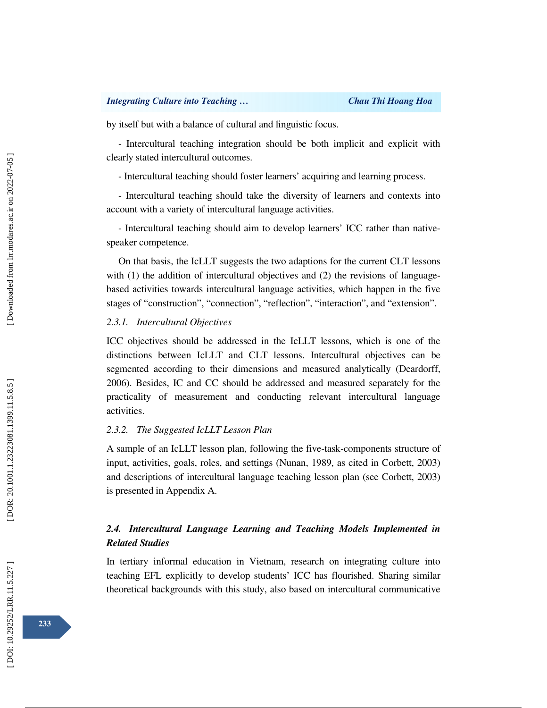by itself but with a balance of cultural and linguistic focus.

- Intercultural teaching integration should be both implicit and explicit with clearly stated intercultural outcomes.

- Intercultural teaching should foster learners' acquiring and learning process.

- Intercultural teaching should take the diversity of learners and contexts into account with a variety of intercultural language activities.

- Intercultural teaching should aim to develop learners' ICC rather than nativespeaker competence.

On that basis, the IcLLT suggests the two adaptions for the current CLT lessons with (1) the addition of intercultural objectives and (2) the revisions of languagebased activities towards intercultural language activities, which happen in the five stages of "construction", "connection", "reflection", "interaction", and "extension".

### *2.3.1. Intercultural Objectives*

ICC objectives should be addressed in the IcLLT lessons, which is one of the distinctions between IcLLT and CLT lessons. Intercultural objectives can be segmented according to their dimensions and measured analytically (Deardorff, 2006). Besides, IC and CC should be addressed and measured separately for the practicality of measurement and conducting relevant intercultural language activities.

## *2.3.2. The Suggested IcLLT Lesson Plan*

A sample of an IcLLT lesson plan, following the five-task-components structure of input, activities, goals, roles, and settings (Nunan, 1989, as cited in Corbett, 2003) and descriptions of intercultural language teaching lesson plan (see Corbett, 2003) is presented in Appendix A.

# *2.4. Intercultural Language Learning and Teaching Models Implemented in Related Studies*

In tertiary informal education in Vietnam, research on integrating culture into teaching EFL explicitly to develop students' ICC has flourished. Sharing similar theoretical backgrounds with this study, also based on intercultural communicative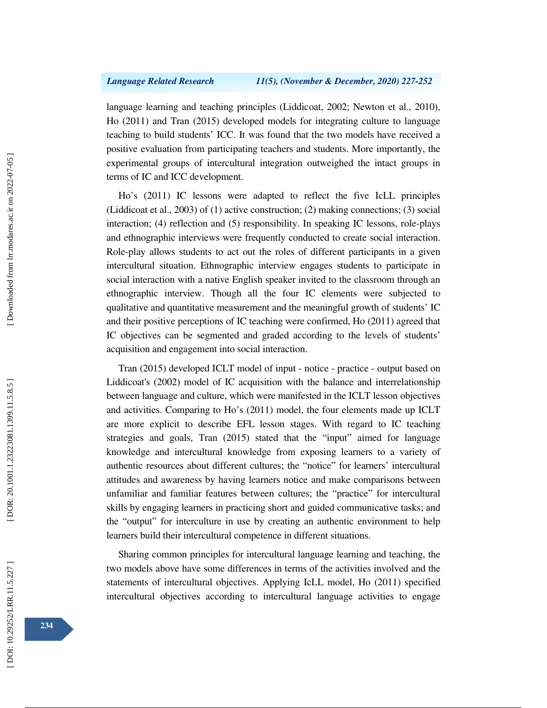language learning and teaching principles (Liddicoat, 2002; Newton et al., 2010), Ho (2011) and Tran (2015) developed models for integrating culture to language teaching to build students' ICC. It was found that the two models have received a positive evaluation from participating teachers and students. More importantly, the experimental groups of intercultural integration outweighed the intact groups in terms of IC and ICC development.

Ho's (2011) IC lessons were adapted to reflect the five IcLL principles (Liddicoat et al., 2003) of (1) active construction; (2) making connections; (3) social interaction; (4) reflection and (5) responsibility. In speaking IC lessons, role-plays and ethnographic interviews were frequently conducted to create social interaction. Role-play allows students to act out the roles of different participants in a given intercultural situation. Ethnographic interview engages students to participate in social interaction with a native English speaker invited to the classroom through an ethnographic interview. Though all the four IC elements were subjected to qualitative and quantitative measurement and the meaningful growth of students' IC and their positive perceptions of IC teaching were confirmed, Ho (2011) agreed that IC objectives can be segmented and graded according to the levels of students' acquisition and engagement into social interaction.

Tran (2015) developed ICLT model of input - notice - practice - output based on Liddicoat's (2002) model of IC acquisition with the balance and interrelationship between language and culture, which were manifested in the ICLT lesson objectives and activities. Comparing to Ho's (2011) model, the four elements made up ICLT are more explicit to describe EFL lesson stages. With regard to IC teaching strategies and goals, Tran (2015) stated that the "input" aimed for language knowledge and intercultural knowledge from exposing learners to a variety of authentic resources about different cultures; the "notice" for learners' intercultural attitudes and awareness by having learners notice and make comparisons between unfamiliar and familiar features between cultures; the "practice" for intercultural skills by engaging learners in practicing short and guided communicative tasks; and the "output" for interculture in use by creating an authentic environment to help learners build their intercultural competence in different situations.

Sharing common principles for intercultural language learning and teaching, the two models above have some differences in terms of the activities involved and the statements of intercultural objectives. Applying IcLL model, Ho (2011) specified intercultural objectives according to intercultural language activities to engage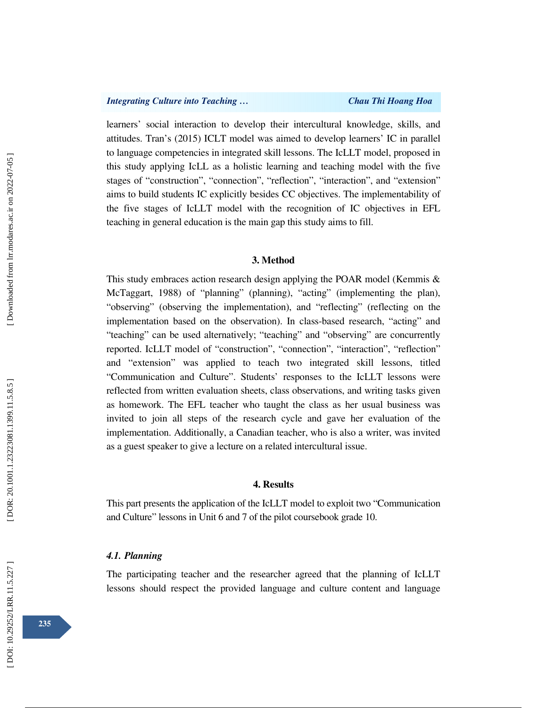learners' social interaction to develop their intercultural knowledge, skills, and attitudes. Tran's (2015) ICLT model was aimed to develop learners' IC in parallel to language competencies in integrated skill lessons. The IcLLT model, proposed in this study applying IcLL as a holistic learning and teaching model with the five stages of "construction", "connection", "reflection", "interaction", and "extension" aims to build students IC explicitly besides CC objectives. The implementability of the five stages of IcLLT model with the recognition of IC objectives in EFL teaching in general education is the main gap this study aims to fill.

## **3. Method**

This study embraces action research design applying the POAR model (Kemmis & McTaggart, 1988) of "planning" (planning), "acting" (implementing the plan), "observing" (observing the implementation), and "reflecting" (reflecting on the implementation based on the observation). In class-based research, "acting" and "teaching" can be used alternatively; "teaching" and "observing" are concurrently reported. IcLLT model of "construction", "connection", "interaction", "reflection" and "extension" was applied to teach two integrated skill lessons, titled "Communication and Culture". Students' responses to the IcLLT lessons were reflected from written evaluation sheets, class observations, and writing tasks given as homework. The EFL teacher who taught the class as her usual business was invited to join all steps of the research cycle and gave her evaluation of the implementation. Additionally, a Canadian teacher, who is also a writer, was invited as a guest speaker to give a lecture on a related intercultural issue.

### **4. Results**

This part presents the application of the IcLLT model to exploit two "Communication and Culture" lessons in Unit 6 and 7 of the pilot coursebook grade 10.

### *4.1. Planning*

The participating teacher and the researcher agreed that the planning of IcLLT lessons should respect the provided language and culture content and language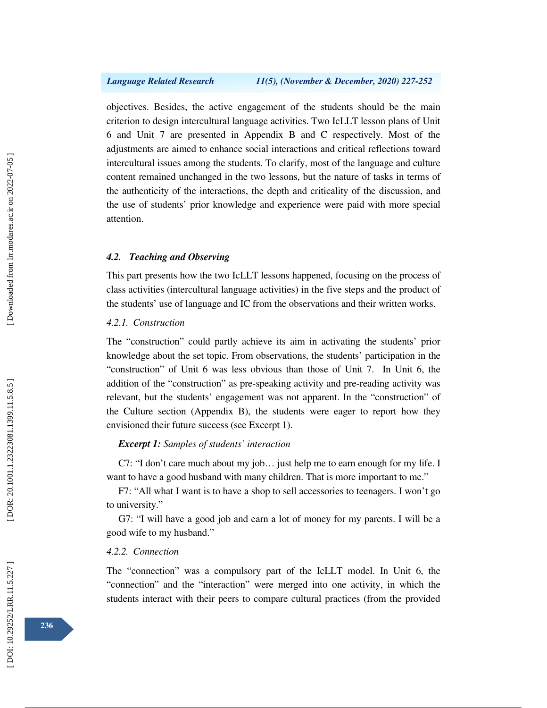objectives. Besides, the active engagement of the students should be the main criterion to design intercultural language activities. Two IcLLT lesson plans of Unit 6 and Unit 7 are presented in Appendix B and C respectively. Most of the adjustments are aimed to enhance social interactions and critical reflections toward intercultural issues among the students. To clarify, most of the language and culture content remained unchanged in the two lessons, but the nature of tasks in terms of the authenticity of the interactions, the depth and criticality of the discussion, and the use of students' prior knowledge and experience were paid with more special attention.

### *4.2. Teaching and Observing*

This part presents how the two IcLLT lessons happened, focusing on the process of class activities (intercultural language activities) in the five steps and the product of the students' use of language and IC from the observations and their written works.

### *4.2.1. Construction*

The "construction" could partly achieve its aim in activating the students' prior knowledge about the set topic. From observations, the students' participation in the "construction" of Unit 6 was less obvious than those of Unit 7. In Unit 6, the addition of the "construction" as pre-speaking activity and pre-reading activity was relevant, but the students' engagement was not apparent. In the "construction" of the Culture section (Appendix B), the students were eager to report how they envisioned their future success (see Excerpt 1).

### *Excerpt 1: Samples of students' interaction*

C7: "I don't care much about my job… just help me to earn enough for my life. I want to have a good husband with many children. That is more important to me."

F7: "All what I want is to have a shop to sell accessories to teenagers. I won't go to university."

G7: "I will have a good job and earn a lot of money for my parents. I will be a good wife to my husband."

# *4.2.2. Connection*

The "connection" was a compulsory part of the IcLLT model. In Unit 6, the "connection" and the "interaction" were merged into one activity, in which the students interact with their peers to compare cultural practices (from the provided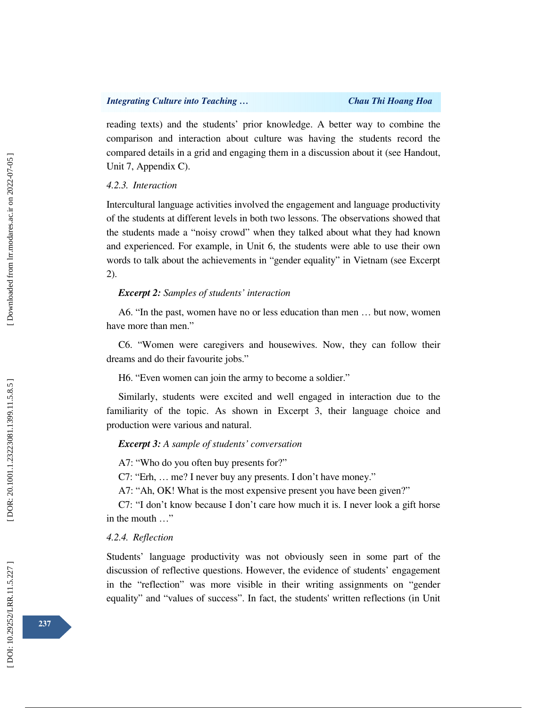reading texts) and the students' prior knowledge. A better way to combine the comparison and interaction about culture was having the students record the compared details in a grid and engaging them in a discussion about it (see Handout, Unit 7, Appendix C).

# *4.2.3. Interaction*

Intercultural language activities involved the engagement and language productivity of the students at different levels in both two lessons. The observations showed that the students made a "noisy crowd" when they talked about what they had known and experienced. For example, in Unit 6, the students were able to use their own words to talk about the achievements in "gender equality" in Vietnam (see Excerpt 2).

## *Excerpt 2: Samples of students' interaction*

A6. "In the past, women have no or less education than men … but now, women have more than men."

C6. "Women were caregivers and housewives. Now, they can follow their dreams and do their favourite jobs."

H6. "Even women can join the army to become a soldier."

Similarly, students were excited and well engaged in interaction due to the familiarity of the topic. As shown in Excerpt 3, their language choice and production were various and natural.

### *Excerpt 3: A sample of students' conversation*

A7: "Who do you often buy presents for?"

C7: "Erh, … me? I never buy any presents. I don't have money."

A7: "Ah, OK! What is the most expensive present you have been given?"

C7: "I don't know because I don't care how much it is. I never look a gift horse in the mouth …"

### *4.2.4. Reflection*

Students' language productivity was not obviously seen in some part of the discussion of reflective questions. However, the evidence of students' engagement in the "reflection" was more visible in their writing assignments on "gender equality" and "values of success". In fact, the students' written reflections (in Unit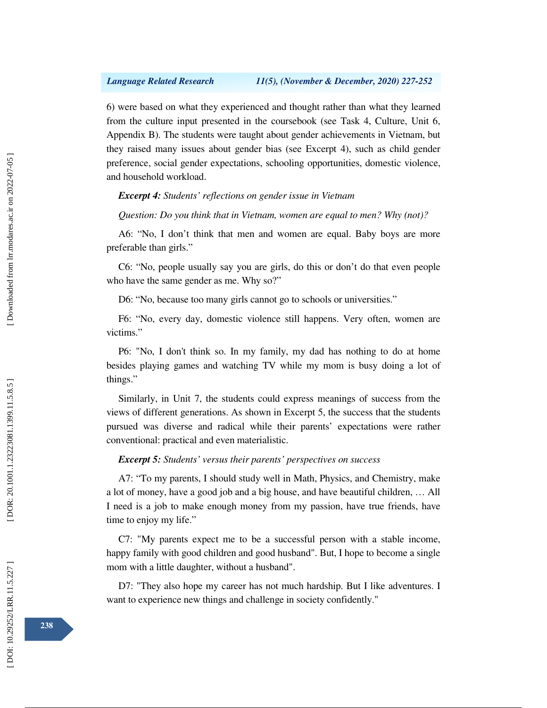6) were based on what they experienced and thought rather than what they learned from the culture input presented in the coursebook (see Task 4, Culture, Unit 6, Appendix B). The students were taught about gender achievements in Vietnam, but they raised many issues about gender bias (see Excerpt 4), such as child gender preference, social gender expectations, schooling opportunities, domestic violence, and household workload.

*Excerpt 4: Students' reflections on gender issue in Vietnam* 

*Question: Do you think that in Vietnam, women are equal to men? Why (not)?* 

A6: "No, I don't think that men and women are equal. Baby boys are more preferable than girls."

C6: "No, people usually say you are girls, do this or don't do that even people who have the same gender as me. Why so?"

D6: "No, because too many girls cannot go to schools or universities."

F6: "No, every day, domestic violence still happens. Very often, women are victims."

P6: "No, I don't think so. In my family, my dad has nothing to do at home besides playing games and watching TV while my mom is busy doing a lot of things."

Similarly, in Unit 7, the students could express meanings of success from the views of different generations. As shown in Excerpt 5, the success that the students pursued was diverse and radical while their parents' expectations were rather conventional: practical and even materialistic.

*Excerpt 5: Students' versus their parents' perspectives on success*

A7: "To my parents, I should study well in Math, Physics, and Chemistry, make a lot of money, have a good job and a big house, and have beautiful children, … All I need is a job to make enough money from my passion, have true friends, have time to enjoy my life."

C7: "My parents expect me to be a successful person with a stable income, happy family with good children and good husband". But, I hope to become a single mom with a little daughter, without a husband".

D7: "They also hope my career has not much hardship. But I like adventures. I want to experience new things and challenge in society confidently."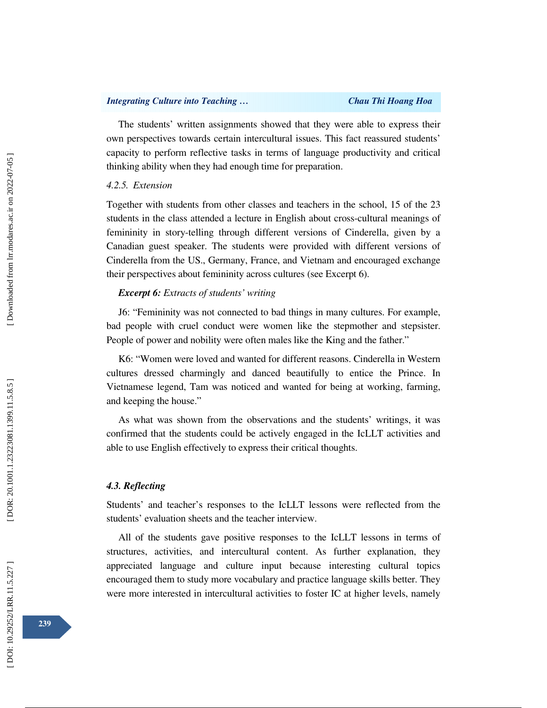The students' written assignments showed that they were able to express their own perspectives towards certain intercultural issues. This fact reassured students' capacity to perform reflective tasks in terms of language productivity and critical thinking ability when they had enough time for preparation.

### *4.2.5. Extension*

Together with students from other classes and teachers in the school, 15 of the 23 students in the class attended a lecture in English about cross-cultural meanings of femininity in story-telling through different versions of Cinderella, given by a Canadian guest speaker. The students were provided with different versions of Cinderella from the US., Germany, France, and Vietnam and encouraged exchange their perspectives about femininity across cultures (see Excerpt 6).

### *Excerpt 6: Extracts of students' writing*

J6: "Femininity was not connected to bad things in many cultures. For example, bad people with cruel conduct were women like the stepmother and stepsister. People of power and nobility were often males like the King and the father."

K6: "Women were loved and wanted for different reasons. Cinderella in Western cultures dressed charmingly and danced beautifully to entice the Prince. In Vietnamese legend, Tam was noticed and wanted for being at working, farming, and keeping the house."

As what was shown from the observations and the students' writings, it was confirmed that the students could be actively engaged in the IcLLT activities and able to use English effectively to express their critical thoughts.

### *4.3. Reflecting*

Students' and teacher's responses to the IcLLT lessons were reflected from the students' evaluation sheets and the teacher interview.

All of the students gave positive responses to the IcLLT lessons in terms of structures, activities, and intercultural content. As further explanation, they appreciated language and culture input because interesting cultural topics encouraged them to study more vocabulary and practice language skills better. They were more interested in intercultural activities to foster IC at higher levels, namely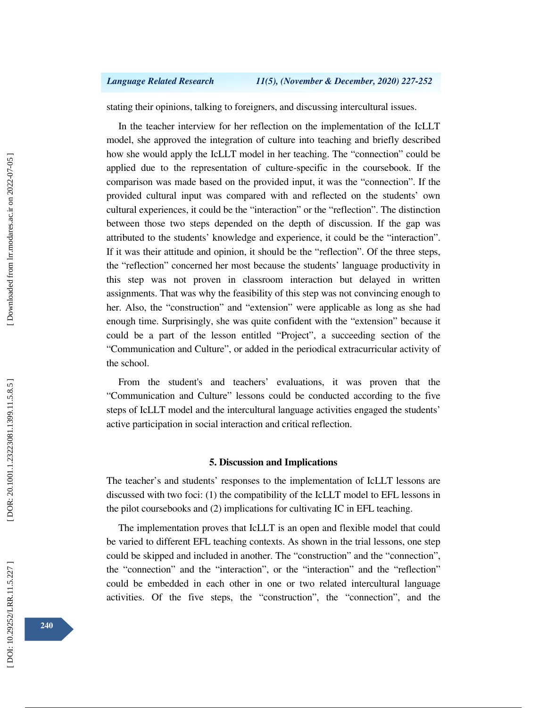stating their opinions, talking to foreigners, and discussing intercultural issues.

In the teacher interview for her reflection on the implementation of the IcLLT model, she approved the integration of culture into teaching and briefly described how she would apply the IcLLT model in her teaching. The "connection" could be applied due to the representation of culture-specific in the coursebook. If the comparison was made based on the provided input, it was the "connection". If the provided cultural input was compared with and reflected on the students' own cultural experiences, it could be the "interaction" or the "reflection". The distinction between those two steps depended on the depth of discussion. If the gap was attributed to the students' knowledge and experience, it could be the "interaction". If it was their attitude and opinion, it should be the "reflection". Of the three steps, the "reflection" concerned her most because the students' language productivity in this step was not proven in classroom interaction but delayed in written assignments. That was why the feasibility of this step was not convincing enough to her. Also, the "construction" and "extension" were applicable as long as she had enough time. Surprisingly, she was quite confident with the "extension" because it could be a part of the lesson entitled "Project", a succeeding section of the "Communication and Culture", or added in the periodical extracurricular activity of the school.

From the student's and teachers' evaluations, it was proven that the "Communication and Culture" lessons could be conducted according to the five steps of IcLLT model and the intercultural language activities engaged the students' active participation in social interaction and critical reflection.

# **5. Discussion and Implications**

The teacher's and students' responses to the implementation of IcLLT lessons are discussed with two foci: (1) the compatibility of the IcLLT model to EFL lessons in the pilot coursebooks and (2) implications for cultivating IC in EFL teaching.

The implementation proves that IcLLT is an open and flexible model that could be varied to different EFL teaching contexts. As shown in the trial lessons, one step could be skipped and included in another. The "construction" and the "connection", the "connection" and the "interaction", or the "interaction" and the "reflection" could be embedded in each other in one or two related intercultural language activities. Of the five steps, the "construction", the "connection", and the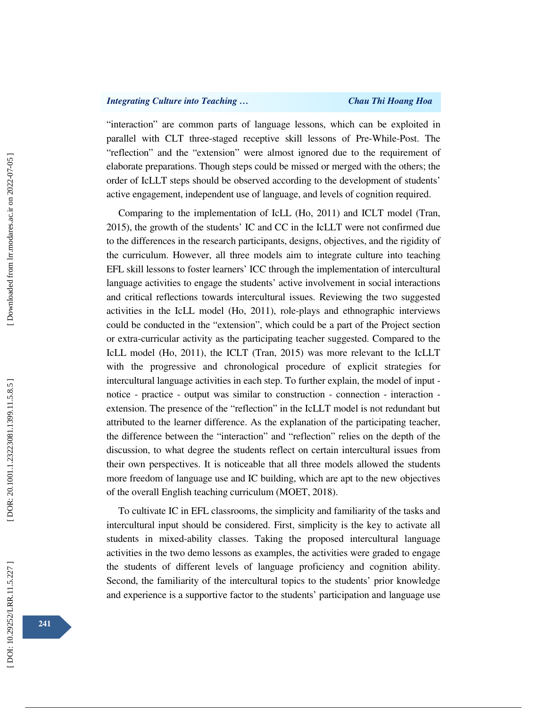## *Integrating Culture into Teaching … Chau Thi Hoang Hoa*

"interaction" are common parts of language lessons, which can be exploited in parallel with CLT three-staged receptive skill lessons of Pre-While-Post. The "reflection" and the "extension" were almost ignored due to the requirement of elaborate preparations. Though steps could be missed or merged with the others; the order of IcLLT steps should be observed according to the development of students' active engagement, independent use of language, and levels of cognition required.

Comparing to the implementation of IcLL (Ho, 2011) and ICLT model (Tran, 2015), the growth of the students' IC and CC in the IcLLT were not confirmed due to the differences in the research participants, designs, objectives, and the rigidity of the curriculum. However, all three models aim to integrate culture into teaching EFL skill lessons to foster learners' ICC through the implementation of intercultural language activities to engage the students' active involvement in social interactions and critical reflections towards intercultural issues. Reviewing the two suggested activities in the IcLL model (Ho, 2011), role-plays and ethnographic interviews could be conducted in the "extension", which could be a part of the Project section or extra-curricular activity as the participating teacher suggested. Compared to the IcLL model (Ho, 2011), the ICLT (Tran, 2015) was more relevant to the IcLLT with the progressive and chronological procedure of explicit strategies for intercultural language activities in each step. To further explain, the model of input notice - practice - output was similar to construction - connection - interaction extension. The presence of the "reflection" in the IcLLT model is not redundant but attributed to the learner difference. As the explanation of the participating teacher, the difference between the "interaction" and "reflection" relies on the depth of the discussion, to what degree the students reflect on certain intercultural issues from their own perspectives. It is noticeable that all three models allowed the students more freedom of language use and IC building, which are apt to the new objectives of the overall English teaching curriculum (MOET, 2018).

To cultivate IC in EFL classrooms, the simplicity and familiarity of the tasks and intercultural input should be considered. First, simplicity is the key to activate all students in mixed-ability classes. Taking the proposed intercultural language activities in the two demo lessons as examples, the activities were graded to engage the students of different levels of language proficiency and cognition ability. Second, the familiarity of the intercultural topics to the students' prior knowledge and experience is a supportive factor to the students' participation and language use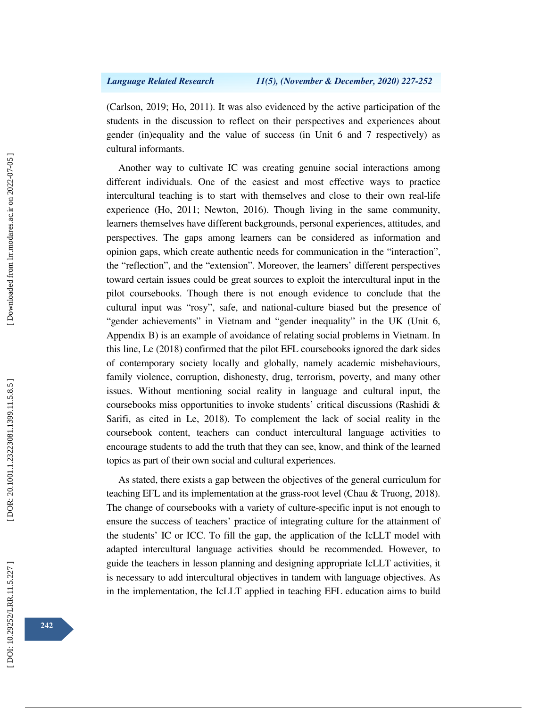(Carlson, 2019; Ho, 2011). It was also evidenced by the active participation of the students in the discussion to reflect on their perspectives and experiences about gender (in)equality and the value of success (in Unit 6 and 7 respectively) as cultural informants.

Another way to cultivate IC was creating genuine social interactions among different individuals. One of the easiest and most effective ways to practice intercultural teaching is to start with themselves and close to their own real-life experience (Ho, 2011; Newton, 2016). Though living in the same community, learners themselves have different backgrounds, personal experiences, attitudes, and perspectives. The gaps among learners can be considered as information and opinion gaps, which create authentic needs for communication in the "interaction", the "reflection", and the "extension". Moreover, the learners' different perspectives toward certain issues could be great sources to exploit the intercultural input in the pilot coursebooks. Though there is not enough evidence to conclude that the cultural input was "rosy", safe, and national-culture biased but the presence of "gender achievements" in Vietnam and "gender inequality" in the UK (Unit 6, Appendix B) is an example of avoidance of relating social problems in Vietnam. In this line, Le (2018) confirmed that the pilot EFL coursebooks ignored the dark sides of contemporary society locally and globally, namely academic misbehaviours, family violence, corruption, dishonesty, drug, terrorism, poverty, and many other issues. Without mentioning social reality in language and cultural input, the coursebooks miss opportunities to invoke students' critical discussions (Rashidi & Sarifi, as cited in Le, 2018). To complement the lack of social reality in the coursebook content, teachers can conduct intercultural language activities to encourage students to add the truth that they can see, know, and think of the learned topics as part of their own social and cultural experiences.

As stated, there exists a gap between the objectives of the general curriculum for teaching EFL and its implementation at the grass-root level (Chau & Truong, 2018). The change of coursebooks with a variety of culture-specific input is not enough to ensure the success of teachers' practice of integrating culture for the attainment of the students' IC or ICC. To fill the gap, the application of the IcLLT model with adapted intercultural language activities should be recommended. However, to guide the teachers in lesson planning and designing appropriate IcLLT activities, it is necessary to add intercultural objectives in tandem with language objectives. As in the implementation, the IcLLT applied in teaching EFL education aims to build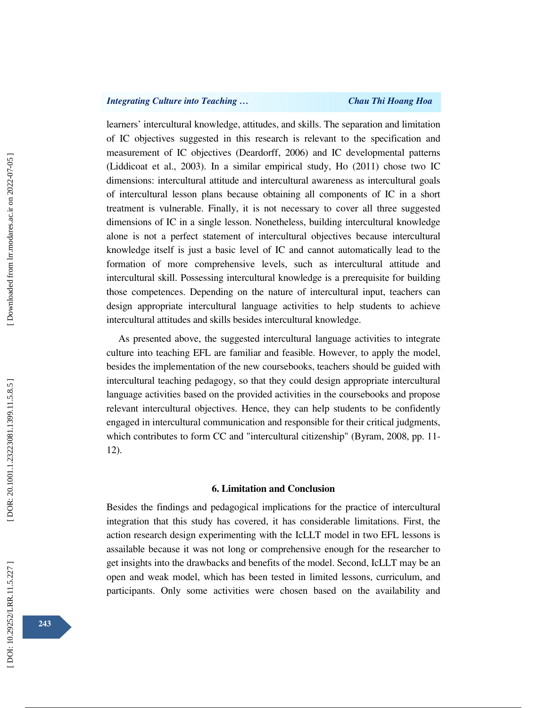# *Integrating Culture into Teaching … Chau Thi Hoang Hoa*

learners' intercultural knowledge, attitudes, and skills. The separation and limitation of IC objectives suggested in this research is relevant to the specification and measurement of IC objectives (Deardorff, 2006) and IC developmental patterns (Liddicoat et al., 2003). In a similar empirical study, Ho (2011) chose two IC dimensions: intercultural attitude and intercultural awareness as intercultural goals of intercultural lesson plans because obtaining all components of IC in a short treatment is vulnerable. Finally, it is not necessary to cover all three suggested dimensions of IC in a single lesson. Nonetheless, building intercultural knowledge alone is not a perfect statement of intercultural objectives because intercultural knowledge itself is just a basic level of IC and cannot automatically lead to the formation of more comprehensive levels, such as intercultural attitude and intercultural skill. Possessing intercultural knowledge is a prerequisite for building those competences. Depending on the nature of intercultural input, teachers can design appropriate intercultural language activities to help students to achieve intercultural attitudes and skills besides intercultural knowledge.

As presented above, the suggested intercultural language activities to integrate culture into teaching EFL are familiar and feasible. However, to apply the model, besides the implementation of the new coursebooks, teachers should be guided with intercultural teaching pedagogy, so that they could design appropriate intercultural language activities based on the provided activities in the coursebooks and propose relevant intercultural objectives. Hence, they can help students to be confidently engaged in intercultural communication and responsible for their critical judgments, which contributes to form CC and "intercultural citizenship" (Byram, 2008, pp. 11- 12).

### **6. Limitation and Conclusion**

Besides the findings and pedagogical implications for the practice of intercultural integration that this study has covered, it has considerable limitations. First, the action research design experimenting with the IcLLT model in two EFL lessons is assailable because it was not long or comprehensive enough for the researcher to get insights into the drawbacks and benefits of the model. Second, IcLLT may be an open and weak model, which has been tested in limited lessons, curriculum, and participants. Only some activities were chosen based on the availability and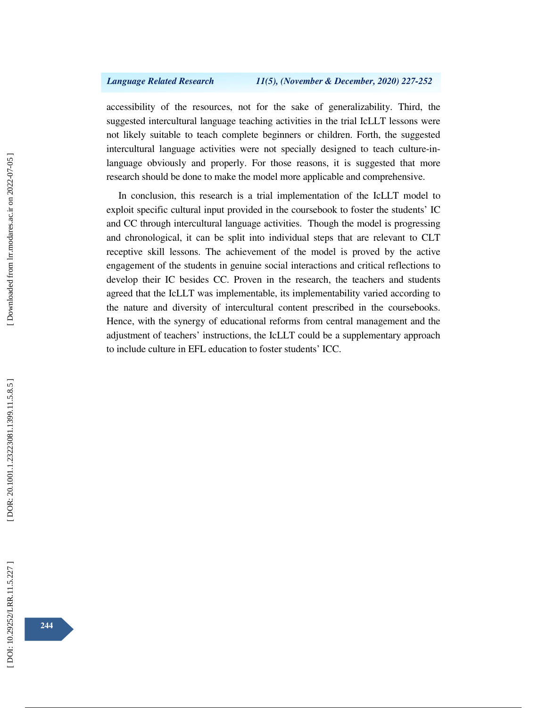accessibility of the resources, not for the sake of generalizability. Third, the suggested intercultural language teaching activities in the trial IcLLT lessons were not likely suitable to teach complete beginners or children. Forth, the suggested intercultural language activities were not specially designed to teach culture-inlanguage obviously and properly. For those reasons, it is suggested that more research should be done to make the model more applicable and comprehensive.

In conclusion, this research is a trial implementation of the IcLLT model to exploit specific cultural input provided in the coursebook to foster the students' IC and CC through intercultural language activities. Though the model is progressing and chronological, it can be split into individual steps that are relevant to CLT receptive skill lessons. The achievement of the model is proved by the active engagement of the students in genuine social interactions and critical reflections to develop their IC besides CC. Proven in the research, the teachers and students agreed that the IcLLT was implementable, its implementability varied according to the nature and diversity of intercultural content prescribed in the coursebooks. Hence, with the synergy of educational reforms from central management and the adjustment of teachers' instructions, the IcLLT could be a supplementary approach to include culture in EFL education to foster students' ICC.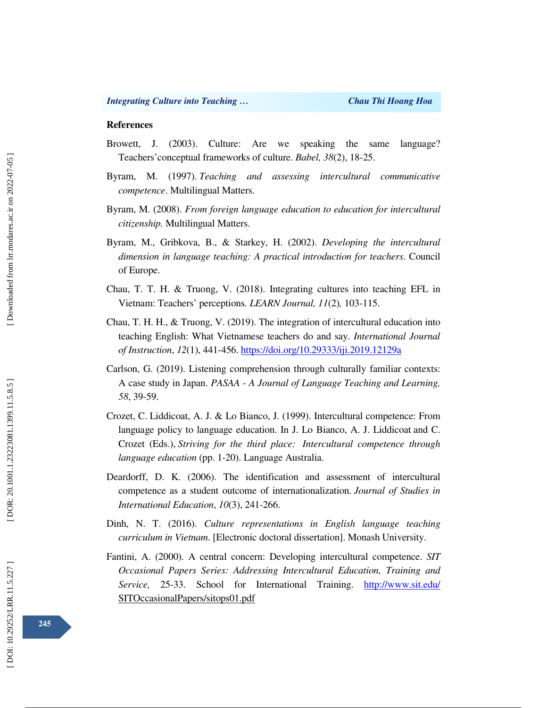### **References**

- Browett, J. (2003). Culture: Are we speaking the same language? Teachers'conceptual frameworks of culture. *Babel, 38*(2), 18-25.
- Byram, M. (1997). *Teaching and assessing intercultural communicative competence*. Multilingual Matters.
- Byram, M. (2008). *From foreign language education to education for intercultural citizenship.* Multilingual Matters.
- Byram, M., Gribkova, B., & Starkey, H. (2002). *Developing the intercultural dimension in language teaching: A practical introduction for teachers*. Council of Europe.
- Chau, T. T. H. & Truong, V. (2018). Integrating cultures into teaching EFL in Vietnam: Teachers' perceptions*. LEARN Journal, 11*(2)*,* 103-115.
- Chau, T. H. H., & Truong, V. (2019). The integration of intercultural education into teaching English: What Vietnamese teachers do and say. *International Journal of Instruction*, *12*(1), 441-456. https://doi.org/10.29333/iji.2019.12129a
- Carlson, G. (2019). Listening comprehension through culturally familiar contexts: A case study in Japan. *PASAA* - *A Journal of Language Teaching and Learning, 58*, 39-59.
- Crozet, C. Liddicoat, A. J. & Lo Bianco, J. (1999). Intercultural competence: From language policy to language education. In J. Lo Bianco, A. J. Liddicoat and C. Crozet (Eds.), *Striving for the third place: Intercultural competence through language education* (pp. 1-20). Language Australia.
- Deardorff, D. K. (2006). The identification and assessment of intercultural competence as a student outcome of internationalization. *Journal of Studies in International Education*, *10*(3), 241-266.
- Dinh, N. T. (2016). *Culture representations in English language teaching curriculum in Vietnam*. [Electronic doctoral dissertation]. Monash University.
- Fantini, A. (2000). A central concern: Developing intercultural competence. *SIT Occasional Papers Series: Addressing Intercultural Education, Training and Service,* 25-33. School for International Training. http://www.sit.edu/ SITOccasionalPapers/sitops01.pdf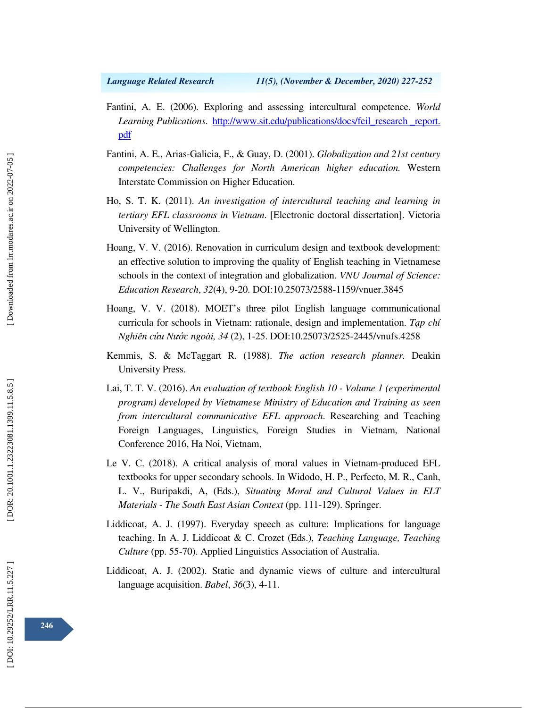- Fantini, A. E. (2006). Exploring and assessing intercultural competence. *World Learning Publications*. http://www.sit.edu/publications/docs/feil\_research \_report. pdf
- Fantini, A. E., Arias-Galicia, F., & Guay, D. (2001). *Globalization and 21st century competencies: Challenges for North American higher education.* Western Interstate Commission on Higher Education.
- Ho, S. T. K. (2011). *An investigation of intercultural teaching and learning in tertiary EFL classrooms in Vietnam*. [Electronic doctoral dissertation]. Victoria University of Wellington.
- Hoang, V. V. (2016). Renovation in curriculum design and textbook development: an effective solution to improving the quality of English teaching in Vietnamese schools in the context of integration and globalization. *VNU Journal of Science: Education Research*, *32*(4), 9-20. DOI:10.25073/2588-1159/vnuer.3845
- Hoang, V. V. (2018). MOET's three pilot English language communicational curricula for schools in Vietnam: rationale, design and implementation. *T*ạ*p chí Nghiên c* ứ*u N*ướ*c ngoài, 34* (2), 1-25. DOI:10.25073/2525-2445/vnufs.4258
- Kemmis, S. & McTaggart R. (1988). *The action research planner.* Deakin University Press.
- Lai, T. T. V. (2016). *An evaluation of textbook English 10 Volume 1 (experimental program) developed by Vietnamese Ministry of Education and Training as seen from intercultural communicative EFL approach*. Researching and Teaching Foreign Languages, Linguistics, Foreign Studies in Vietnam, National Conference 2016, Ha Noi, Vietnam,
- Le V. C. (2018). A critical analysis of moral values in Vietnam-produced EFL textbooks for upper secondary schools. In Widodo, H. P., Perfecto, M. R., Canh, L. V., Buripakdi, A, (Eds.), *Situating Moral and Cultural Values in ELT Materials - The South East Asian Context* (pp. 111-129). Springer.
- Liddicoat, A. J. (1997). Everyday speech as culture: Implications for language teaching. In A. J. Liddicoat & C. Crozet (Eds.), *Teaching Language, Teaching Culture* (pp. 55-70). Applied Linguistics Association of Australia.
- Liddicoat, A. J. (2002). Static and dynamic views of culture and intercultural language acquisition. *Babel*, *36*(3), 4-11.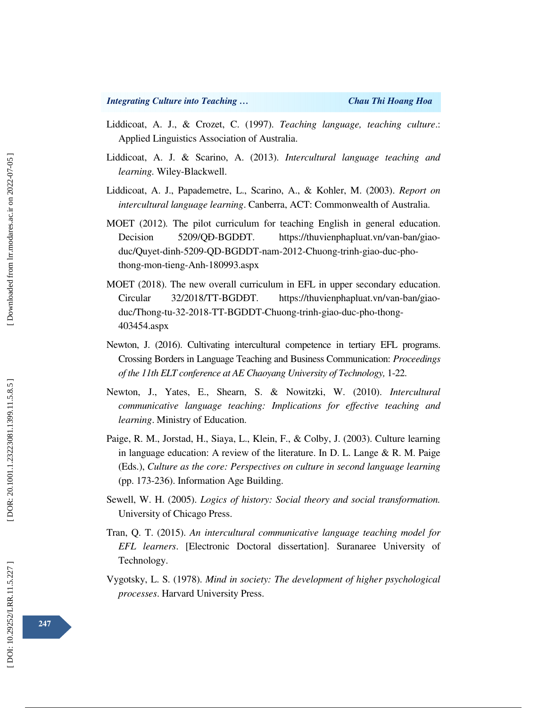- Liddicoat, A. J., & Crozet, C. (1997). *Teaching language, teaching culture*.: Applied Linguistics Association of Australia.
- Liddicoat, A. J. & Scarino, A. (2013). *Intercultural language teaching and learning.* Wiley-Blackwell.
- Liddicoat, A. J., Papademetre, L., Scarino, A., & Kohler, M. (2003). *Report on intercultural language learning*. Canberra, ACT: Commonwealth of Australia.
- MOET (2012)*.* The pilot curriculum for teaching English in general education. Decision 5209/OĐ-BGDĐT. https://thuvienphapluat.vn/van-ban/giaoduc/Quyet-dinh-5209-QD-BGDDT-nam-2012-Chuong-trinh-giao-duc-phothong-mon-tieng-Anh-180993.aspx
- MOET (2018). The new overall curriculum in EFL in upper secondary education. Circular 32/2018/TT-BGDDT. https://thuvienphapluat.vn/van-ban/giaoduc/Thong-tu-32-2018-TT-BGDDT-Chuong-trinh-giao-duc-pho-thong-403454.aspx
- Newton, J. (2016). Cultivating intercultural competence in tertiary EFL programs. Crossing Borders in Language Teaching and Business Communication: *Proceedings of the 11th ELT conference at AE Chaoyang University of Technology,* 1-22.
- Newton, J., Yates, E., Shearn, S. & Nowitzki, W. (2010). *Intercultural communicative language teaching: Implications for effective teaching and learning*. Ministry of Education.
- Paige, R. M., Jorstad, H., Siaya, L., Klein, F., & Colby, J. (2003). Culture learning in language education: A review of the literature. In D. L. Lange & R. M. Paige (Eds.), *Culture as the core: Perspectives on culture in second language learning* (pp. 173-236). Information Age Building.
- Sewell, W. H. (2005). *Logics of history: Social theory and social transformation.* University of Chicago Press.
- Tran, Q. T. (2015). *An intercultural communicative language teaching model for EFL learners*. [Electronic Doctoral dissertation]. Suranaree University of Technology.
- Vygotsky, L. S. (1978). *Mind in society: The development of higher psychological processes*. Harvard University Press.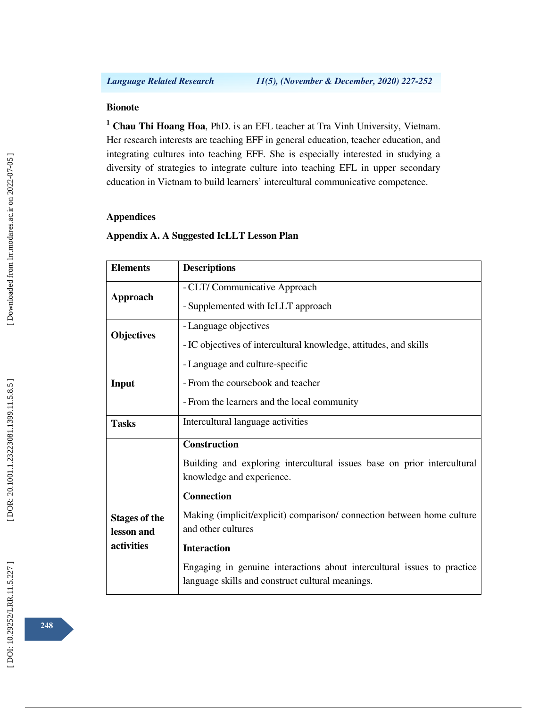# **Bionote**

**1 Chau Thi Hoang Hoa**, PhD. is an EFL teacher at Tra Vinh University, Vietnam. Her research interests are teaching EFF in general education, teacher education, and integrating cultures into teaching EFF. She is especially interested in studying a diversity of strategies to integrate culture into teaching EFL in upper secondary education in Vietnam to build learners' intercultural communicative competence.

# **Appendices**

# **Appendix A. A Suggested IcLLT Lesson Plan**

| <b>Elements</b>                    | <b>Descriptions</b>                                                                                                         |
|------------------------------------|-----------------------------------------------------------------------------------------------------------------------------|
| <b>Approach</b>                    | - CLT/ Communicative Approach                                                                                               |
|                                    | - Supplemented with IcLLT approach                                                                                          |
| <b>Objectives</b>                  | - Language objectives                                                                                                       |
|                                    | - IC objectives of intercultural knowledge, attitudes, and skills                                                           |
| Input                              | - Language and culture-specific                                                                                             |
|                                    | - From the coursebook and teacher                                                                                           |
|                                    | - From the learners and the local community                                                                                 |
| <b>Tasks</b>                       | Intercultural language activities                                                                                           |
|                                    | <b>Construction</b>                                                                                                         |
|                                    | Building and exploring intercultural issues base on prior intercultural<br>knowledge and experience.                        |
|                                    | <b>Connection</b>                                                                                                           |
| <b>Stages of the</b><br>lesson and | Making (implicit/explicit) comparison/ connection between home culture<br>and other cultures                                |
| activities                         | <b>Interaction</b>                                                                                                          |
|                                    | Engaging in genuine interactions about intercultural issues to practice<br>language skills and construct cultural meanings. |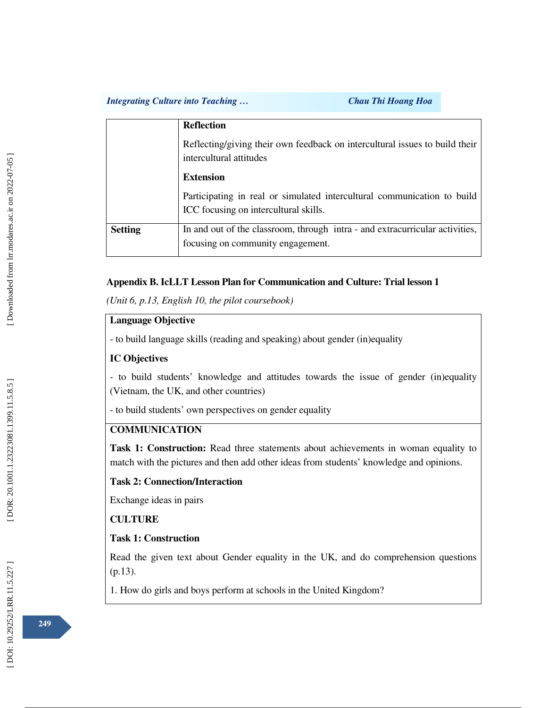## *Integrating Culture into Teaching … Chau Thi Hoang Hoa*

|                | <b>Reflection</b>                                                                                                |
|----------------|------------------------------------------------------------------------------------------------------------------|
|                | Reflecting/giving their own feedback on intercultural issues to build their<br>intercultural attitudes           |
|                | <b>Extension</b>                                                                                                 |
|                | Participating in real or simulated intercultural communication to build<br>ICC focusing on intercultural skills. |
| <b>Setting</b> | In and out of the classroom, through intra - and extracurricular activities,                                     |
|                | focusing on community engagement.                                                                                |

# **Appendix B. IcLLT Lesson Plan for Communication and Culture: Trial lesson 1**

*(Unit 6, p.13, English 10, the pilot coursebook)* 

# **Language Objective**

- to build language skills (reading and speaking) about gender (in)equality

## **IC Objectives**

- to build students' knowledge and attitudes towards the issue of gender (in)equality (Vietnam, the UK, and other countries)

- to build students' own perspectives on gender equality

# **COMMUNICATION**

**Task 1: Construction:** Read three statements about achievements in woman equality to match with the pictures and then add other ideas from students' knowledge and opinions.

## **Task 2: Connection/Interaction**

Exchange ideas in pairs

## **CULTURE**

## **Task 1: Construction**

Read the given text about Gender equality in the UK, and do comprehension questions (p.13).

1. How do girls and boys perform at schools in the United Kingdom?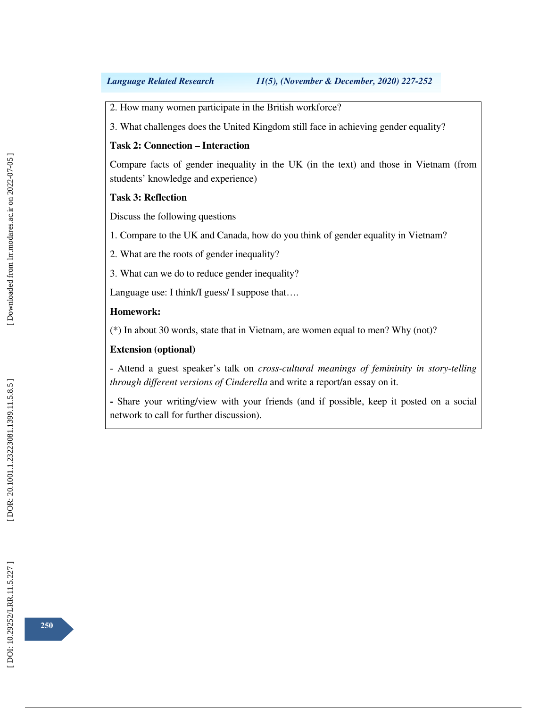2. How many women participate in the British workforce?

3. What challenges does the United Kingdom still face in achieving gender equality?

# **Task 2: Connection – Interaction**

Compare facts of gender inequality in the UK (in the text) and those in Vietnam (from students' knowledge and experience)

# **Task 3: Reflection**

Discuss the following questions

1. Compare to the UK and Canada, how do you think of gender equality in Vietnam?

2. What are the roots of gender inequality?

3. What can we do to reduce gender inequality?

Language use: I think/I guess/ I suppose that....

### **Homework:**

(\*) In about 30 words, state that in Vietnam, are women equal to men? Why (not)?

## **Extension (optional)**

- Attend a guest speaker's talk on *cross-cultural meanings of femininity in story-telling through different versions of Cinderella* and write a report/an essay on it.

**-** Share your writing/view with your friends (and if possible, keep it posted on a social network to call for further discussion).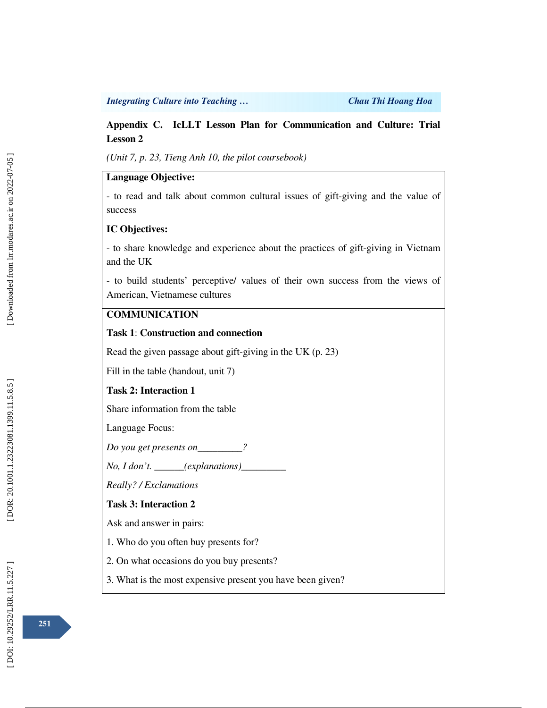### *Integrating Culture into Teaching … Chau Thi Hoang Hoa*

# **Appendix C. IcLLT Lesson Plan for Communication and Culture: Trial Lesson 2**

*(Unit 7, p. 23, Tieng Anh 10, the pilot coursebook)*

# **Language Objective:**

- to read and talk about common cultural issues of gift-giving and the value of success

### **IC Objectives:**

- to share knowledge and experience about the practices of gift-giving in Vietnam and the UK

- to build students' perceptive/ values of their own success from the views of American, Vietnamese cultures

# **COMMUNICATION**

### **Task 1**: **Construction and connection**

Read the given passage about gift-giving in the UK (p. 23)

Fill in the table (handout, unit 7)

# **Task 2: Interaction 1**

Share information from the table

Language Focus:

*Do you get presents on\_\_\_\_\_\_\_\_\_?* 

*No, I don't. \_\_\_\_\_\_(explanations)\_\_\_\_\_\_\_\_\_* 

*Really? / Exclamations* 

## **Task 3: Interaction 2**

Ask and answer in pairs:

- 1. Who do you often buy presents for?
- 2. On what occasions do you buy presents?
- 3. What is the most expensive present you have been given?